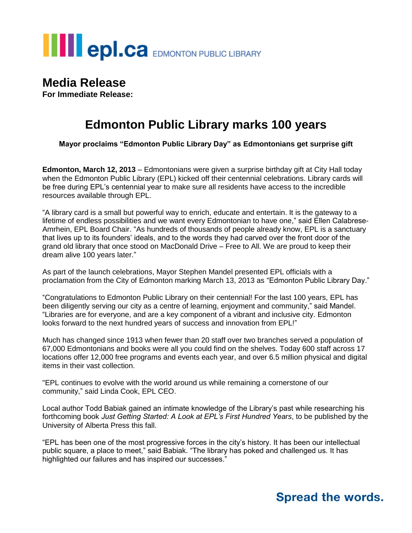

#### **Media Release**

**For Immediate Release:**

## **Edmonton Public Library marks 100 years**

**Mayor proclaims "Edmonton Public Library Day" as Edmontonians get surprise gift**

**Edmonton, March 12, 2013** – Edmontonians were given a surprise birthday gift at City Hall today when the Edmonton Public Library (EPL) kicked off their centennial celebrations. Library cards will be free during EPL's centennial year to make sure all residents have access to the incredible resources available through EPL.

"A library card is a small but powerful way to enrich, educate and entertain. It is the gateway to a lifetime of endless possibilities and we want every Edmontonian to have one," said Ellen Calabrese-Amrhein, EPL Board Chair. "As hundreds of thousands of people already know, EPL is a sanctuary that lives up to its founders' ideals, and to the words they had carved over the front door of the grand old library that once stood on MacDonald Drive – Free to All. We are proud to keep their dream alive 100 years later."

As part of the launch celebrations, Mayor Stephen Mandel presented EPL officials with a proclamation from the City of Edmonton marking March 13, 2013 as "Edmonton Public Library Day."

"Congratulations to Edmonton Public Library on their centennial! For the last 100 years, EPL has been diligently serving our city as a centre of learning, enjoyment and community," said Mandel. "Libraries are for everyone, and are a key component of a vibrant and inclusive city. Edmonton looks forward to the next hundred years of success and innovation from EPL!"

Much has changed since 1913 when fewer than 20 staff over two branches served a population of 67,000 Edmontonians and books were all you could find on the shelves. Today 600 staff across 17 locations offer 12,000 free programs and events each year, and over 6.5 million physical and digital items in their vast collection.

"EPL continues to evolve with the world around us while remaining a cornerstone of our community," said Linda Cook, EPL CEO.

Local author Todd Babiak gained an intimate knowledge of the Library's past while researching his forthcoming book *Just Getting Started: A Look at EPL's First Hundred Years*, to be published by the University of Alberta Press this fall.

"EPL has been one of the most progressive forces in the city's history. It has been our intellectual public square, a place to meet," said Babiak. "The library has poked and challenged us. It has highlighted our failures and has inspired our successes."

### **Spread the words.**